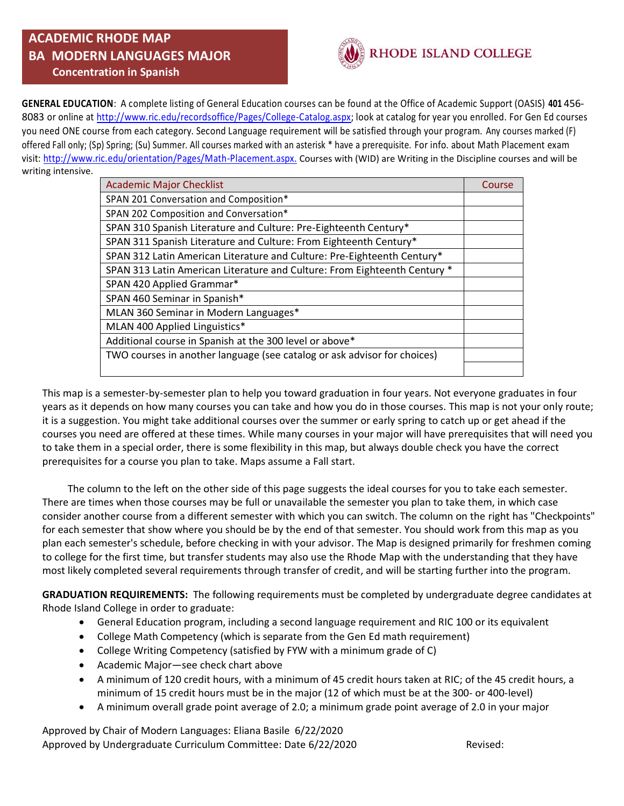## **ACADEMIC RHODE MAP BA MODERN LANGUAGES MAJOR Concentration in Spanish**



**GENERAL EDUCATION**: A complete listing of General Education courses can be found at the Office of Academic Support (OASIS) **401** 456- 8083 or online at [http://www.ric.edu/recordsoffice/Pages/College-Catalog.aspx;](http://www.ric.edu/recordsoffice/Pages/College-Catalog.aspx) look at catalog for year you enrolled. For Gen Ed courses you need ONE course from each category. Second Language requirement will be satisfied through your program. Any courses marked (F) offered Fall only; (Sp) Spring; (Su) Summer. All courses marked with an asterisk \* have a prerequisite. For info. about Math Placement exam visit: [http://www.ric.edu/orientation/Pages/Math-Placement.aspx.](http://www.ric.edu/orientation/Pages/Math-Placement.aspx) Courses with (WID) are Writing in the Discipline courses and will be writing intensive.

| <b>Academic Major Checklist</b>                                           | Course |
|---------------------------------------------------------------------------|--------|
| SPAN 201 Conversation and Composition*                                    |        |
| SPAN 202 Composition and Conversation*                                    |        |
| SPAN 310 Spanish Literature and Culture: Pre-Eighteenth Century*          |        |
| SPAN 311 Spanish Literature and Culture: From Eighteenth Century*         |        |
| SPAN 312 Latin American Literature and Culture: Pre-Eighteenth Century*   |        |
| SPAN 313 Latin American Literature and Culture: From Eighteenth Century * |        |
| SPAN 420 Applied Grammar*                                                 |        |
| SPAN 460 Seminar in Spanish*                                              |        |
| MLAN 360 Seminar in Modern Languages*                                     |        |
| MLAN 400 Applied Linguistics*                                             |        |
| Additional course in Spanish at the 300 level or above*                   |        |
| TWO courses in another language (see catalog or ask advisor for choices)  |        |
|                                                                           |        |

This map is a semester-by-semester plan to help you toward graduation in four years. Not everyone graduates in four years as it depends on how many courses you can take and how you do in those courses. This map is not your only route; it is a suggestion. You might take additional courses over the summer or early spring to catch up or get ahead if the courses you need are offered at these times. While many courses in your major will have prerequisites that will need you to take them in a special order, there is some flexibility in this map, but always double check you have the correct prerequisites for a course you plan to take. Maps assume a Fall start.

 The column to the left on the other side of this page suggests the ideal courses for you to take each semester. There are times when those courses may be full or unavailable the semester you plan to take them, in which case consider another course from a different semester with which you can switch. The column on the right has "Checkpoints" for each semester that show where you should be by the end of that semester. You should work from this map as you plan each semester's schedule, before checking in with your advisor. The Map is designed primarily for freshmen coming to college for the first time, but transfer students may also use the Rhode Map with the understanding that they have most likely completed several requirements through transfer of credit, and will be starting further into the program.

**GRADUATION REQUIREMENTS:** The following requirements must be completed by undergraduate degree candidates at Rhode Island College in order to graduate:

- General Education program, including a second language requirement and RIC 100 or its equivalent
- College Math Competency (which is separate from the Gen Ed math requirement)
- College Writing Competency (satisfied by FYW with a minimum grade of C)
- Academic Major—see check chart above
- A minimum of 120 credit hours, with a minimum of 45 credit hours taken at RIC; of the 45 credit hours, a minimum of 15 credit hours must be in the major (12 of which must be at the 300- or 400-level)
- A minimum overall grade point average of 2.0; a minimum grade point average of 2.0 in your major

Approved by Chair of Modern Languages: Eliana Basile 6/22/2020 Approved by Undergraduate Curriculum Committee: Date 6/22/2020 Revised: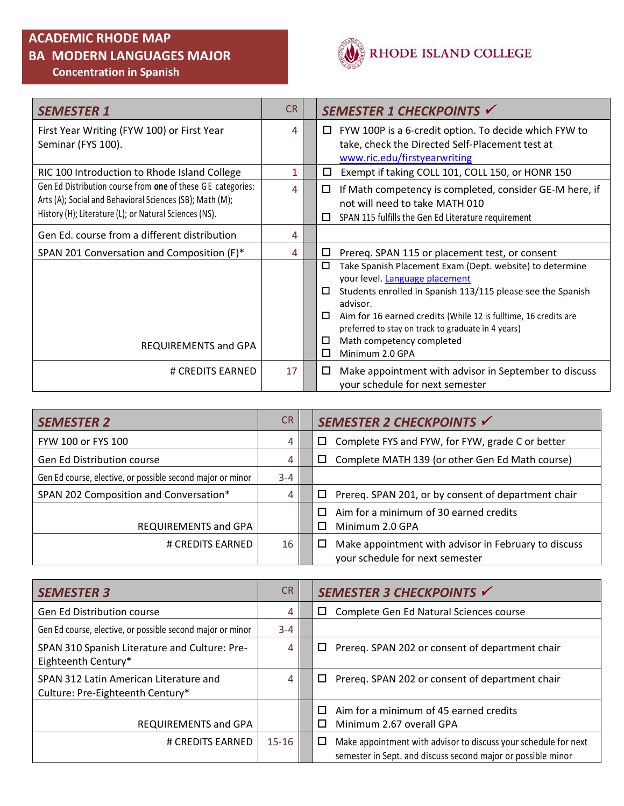### **ACADEMIC RHODE MAP**

## **BA MODERN LANGUAGES MAJOR Concentration in Spanish**



| <b>SEMESTER 1</b>                                           | <b>CR</b> | SEMESTER 1 CHECKPOINTS V                                                     |
|-------------------------------------------------------------|-----------|------------------------------------------------------------------------------|
| First Year Writing (FYW 100) or First Year                  | 4         | FYW 100P is a 6-credit option. To decide which FYW to<br>ப                   |
| Seminar (FYS 100).                                          |           | take, check the Directed Self-Placement test at                              |
|                                                             |           | www.ric.edu/firstyearwriting                                                 |
| RIC 100 Introduction to Rhode Island College                | 1         | Exempt if taking COLL 101, COLL 150, or HONR 150<br>□                        |
| Gen Ed Distribution course from one of these GE categories: | 4         | If Math competency is completed, consider GE-M here, if<br>□                 |
| Arts (A); Social and Behavioral Sciences (SB); Math (M);    |           | not will need to take MATH 010                                               |
| History (H); Literature (L); or Natural Sciences (NS).      |           | SPAN 115 fulfills the Gen Ed Literature requirement<br>□                     |
| Gen Ed. course from a different distribution                | 4         |                                                                              |
| SPAN 201 Conversation and Composition (F)*                  | 4         | Prereq. SPAN 115 or placement test, or consent<br>□                          |
|                                                             |           | Take Spanish Placement Exam (Dept. website) to determine<br>$\Box$           |
|                                                             |           | your level. Language placement                                               |
|                                                             |           | Students enrolled in Spanish 113/115 please see the Spanish<br>□<br>advisor. |
|                                                             |           | Aim for 16 earned credits (While 12 is fulltime, 16 credits are<br>□         |
|                                                             |           | preferred to stay on track to graduate in 4 years)                           |
| <b>REQUIREMENTS and GPA</b>                                 |           | Math competency completed<br>□                                               |
|                                                             |           | □<br>Minimum 2.0 GPA                                                         |
| # CREDITS EARNED                                            | 17        | Make appointment with advisor in September to discuss<br>□                   |
|                                                             |           | your schedule for next semester                                              |

| <b>SEMESTER 2</b>                                          | CR.     | SEMESTER 2 CHECKPOINTS √                                                                     |
|------------------------------------------------------------|---------|----------------------------------------------------------------------------------------------|
| FYW 100 or FYS 100                                         | 4       | Complete FYS and FYW, for FYW, grade C or better<br>□                                        |
| <b>Gen Ed Distribution course</b>                          | 4       | Complete MATH 139 (or other Gen Ed Math course)<br>ப                                         |
| Gen Ed course, elective, or possible second major or minor | $3 - 4$ |                                                                                              |
| SPAN 202 Composition and Conversation*                     | 4       | Prereq. SPAN 201, or by consent of department chair<br>□                                     |
| REQUIREMENTS and GPA                                       |         | Aim for a minimum of 30 earned credits<br>П<br>Minimum 2.0 GPA                               |
| # CREDITS EARNED                                           | 16      | Make appointment with advisor in February to discuss<br>ப<br>your schedule for next semester |

| <b>SEMESTER 3</b>                                                          | C <sub>R</sub> | SEMESTER 3 CHECKPOINTS √                                                                                                             |
|----------------------------------------------------------------------------|----------------|--------------------------------------------------------------------------------------------------------------------------------------|
| <b>Gen Ed Distribution course</b>                                          | 4              | Complete Gen Ed Natural Sciences course<br>□                                                                                         |
| Gen Ed course, elective, or possible second major or minor                 | $3 - 4$        |                                                                                                                                      |
| SPAN 310 Spanish Literature and Culture: Pre-<br>Eighteenth Century*       | 4              | Prereg. SPAN 202 or consent of department chair<br>ப                                                                                 |
| SPAN 312 Latin American Literature and<br>Culture: Pre-Eighteenth Century* | 4              | Prereq. SPAN 202 or consent of department chair<br>□                                                                                 |
| REQUIREMENTS and GPA                                                       |                | Aim for a minimum of 45 earned credits<br>Minimum 2.67 overall GPA<br>П                                                              |
| # CREDITS EARNED                                                           | $15 - 16$      | Make appointment with advisor to discuss your schedule for next<br>□<br>semester in Sept. and discuss second major or possible minor |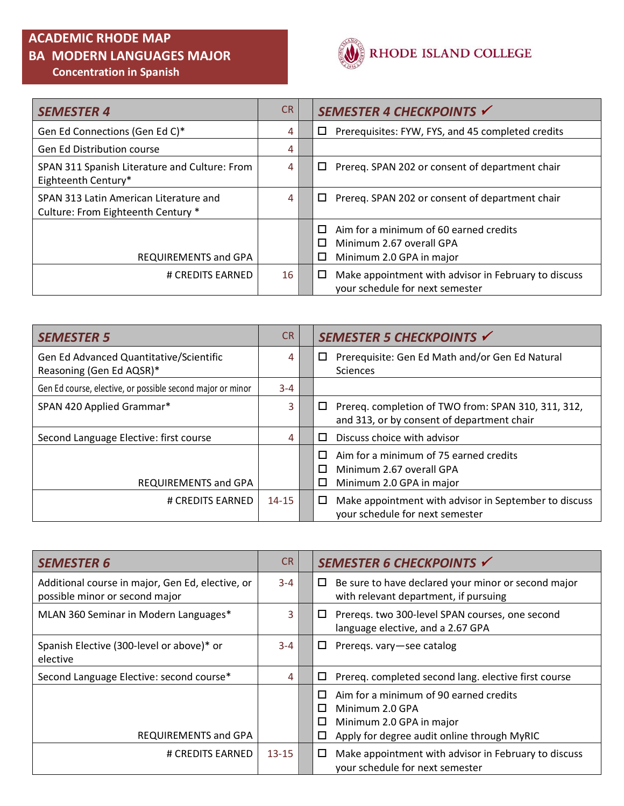## **ACADEMIC RHODE MAP**

# **BA MODERN LANGUAGES MAJOR Concentration in Spanish**



| <b>SEMESTER 4</b>                                                            | <b>CR</b> | SEMESTER 4 CHECKPOINTS V                                                                                      |
|------------------------------------------------------------------------------|-----------|---------------------------------------------------------------------------------------------------------------|
| Gen Ed Connections (Gen Ed C)*                                               | 4         | Prerequisites: FYW, FYS, and 45 completed credits<br>□                                                        |
| <b>Gen Ed Distribution course</b>                                            | 4         |                                                                                                               |
| SPAN 311 Spanish Literature and Culture: From<br>Eighteenth Century*         | 4         | Prereq. SPAN 202 or consent of department chair<br>□                                                          |
| SPAN 313 Latin American Literature and<br>Culture: From Eighteenth Century * | 4         | Prereg. SPAN 202 or consent of department chair<br>$\Box$                                                     |
| REQUIREMENTS and GPA                                                         |           | Aim for a minimum of 60 earned credits<br>П<br>Minimum 2.67 overall GPA<br>П<br>□<br>Minimum 2.0 GPA in major |
| # CREDITS EARNED                                                             | 16        | Make appointment with advisor in February to discuss<br>ப<br>your schedule for next semester                  |

| <b>SEMESTER 5</b>                                                   | <b>CR</b> | SEMESTER 5 CHECKPOINTS √                                                                               |
|---------------------------------------------------------------------|-----------|--------------------------------------------------------------------------------------------------------|
| Gen Ed Advanced Quantitative/Scientific<br>Reasoning (Gen Ed AQSR)* | 4         | Prerequisite: Gen Ed Math and/or Gen Ed Natural<br>ப<br><b>Sciences</b>                                |
| Gen Ed course, elective, or possible second major or minor          | $3 - 4$   |                                                                                                        |
| SPAN 420 Applied Grammar*                                           | 3         | Prereq. completion of TWO from: SPAN 310, 311, 312,<br>□<br>and 313, or by consent of department chair |
| Second Language Elective: first course                              | 4         | Discuss choice with advisor<br>П                                                                       |
| REQUIREMENTS and GPA                                                |           | Aim for a minimum of 75 earned credits<br>Minimum 2.67 overall GPA<br>п<br>Minimum 2.0 GPA in major    |
| # CREDITS EARNED                                                    | $14 - 15$ | Make appointment with advisor in September to discuss<br>□<br>your schedule for next semester          |

| <b>SEMESTER 6</b>                                                                  | CR.       | SEMESTER 6 CHECKPOINTS V                                                                                                                                 |
|------------------------------------------------------------------------------------|-----------|----------------------------------------------------------------------------------------------------------------------------------------------------------|
| Additional course in major, Gen Ed, elective, or<br>possible minor or second major | $3 - 4$   | Be sure to have declared your minor or second major<br>$\Box$<br>with relevant department, if pursuing                                                   |
| MLAN 360 Seminar in Modern Languages*                                              | 3         | Preregs. two 300-level SPAN courses, one second<br>ப<br>language elective, and a 2.67 GPA                                                                |
| Spanish Elective (300-level or above)* or<br>elective                              | $3 - 4$   | Preregs. vary-see catalog<br>ப                                                                                                                           |
| Second Language Elective: second course*                                           | 4         | Prereq. completed second lang. elective first course<br>□                                                                                                |
| REQUIREMENTS and GPA                                                               |           | Aim for a minimum of 90 earned credits<br>п<br>Minimum 2.0 GPA<br>П<br>Minimum 2.0 GPA in major<br>□<br>Apply for degree audit online through MyRIC<br>ப |
| # CREDITS EARNED                                                                   | $13 - 15$ | Make appointment with advisor in February to discuss<br>□<br>your schedule for next semester                                                             |